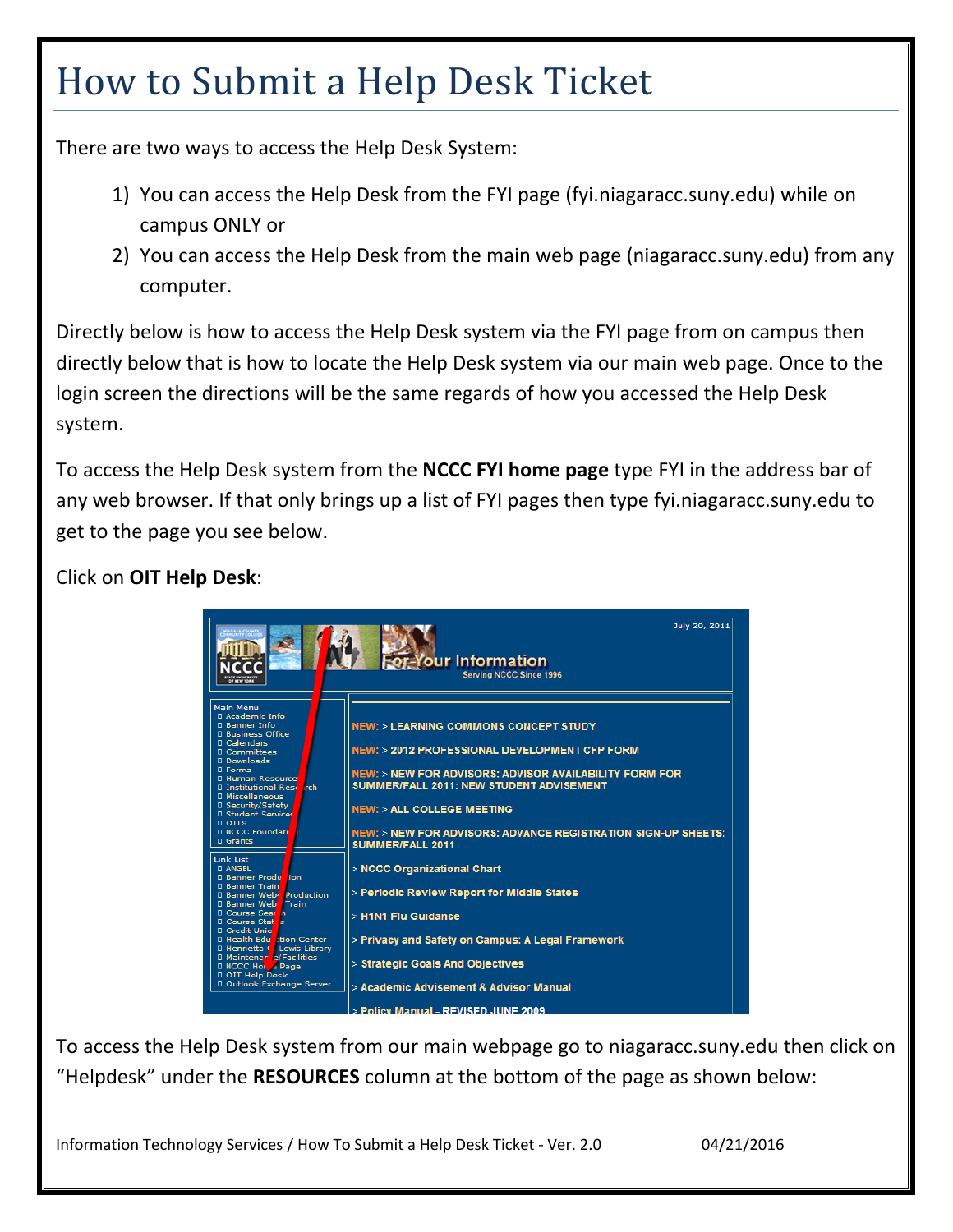## How to Submit a Help Desk Ticket

There are two ways to access the Help Desk System:

- 1) You can access the Help Desk from the FYI page (fyi.niagaracc.suny.edu) while on campus ONLY or
- 2) You can access the Help Desk from the main web page (niagaracc.suny.edu) from any computer.

Directly below is how to access the Help Desk system via the FYI page from on campus then directly below that is how to locate the Help Desk system via our main web page. Once to the login screen the directions will be the same regards of how you accessed the Help Desk system.

To access the Help Desk system from the **NCCC FYI home page** type FYI in the address bar of any web browser. If that only brings up a list of FYI pages then type fyi.niagaracc.suny.edu to get to the page you see below.

## Click on **OIT Help Desk**:



To access the Help Desk system from our main webpage go to niagaracc.suny.edu then click on "Helpdesk" under the **RESOURCES** column at the bottom of the page as shown below:

Information Technology Services / How To Submit a Help Desk Ticket ‐ Ver. 2.0 04/21/2016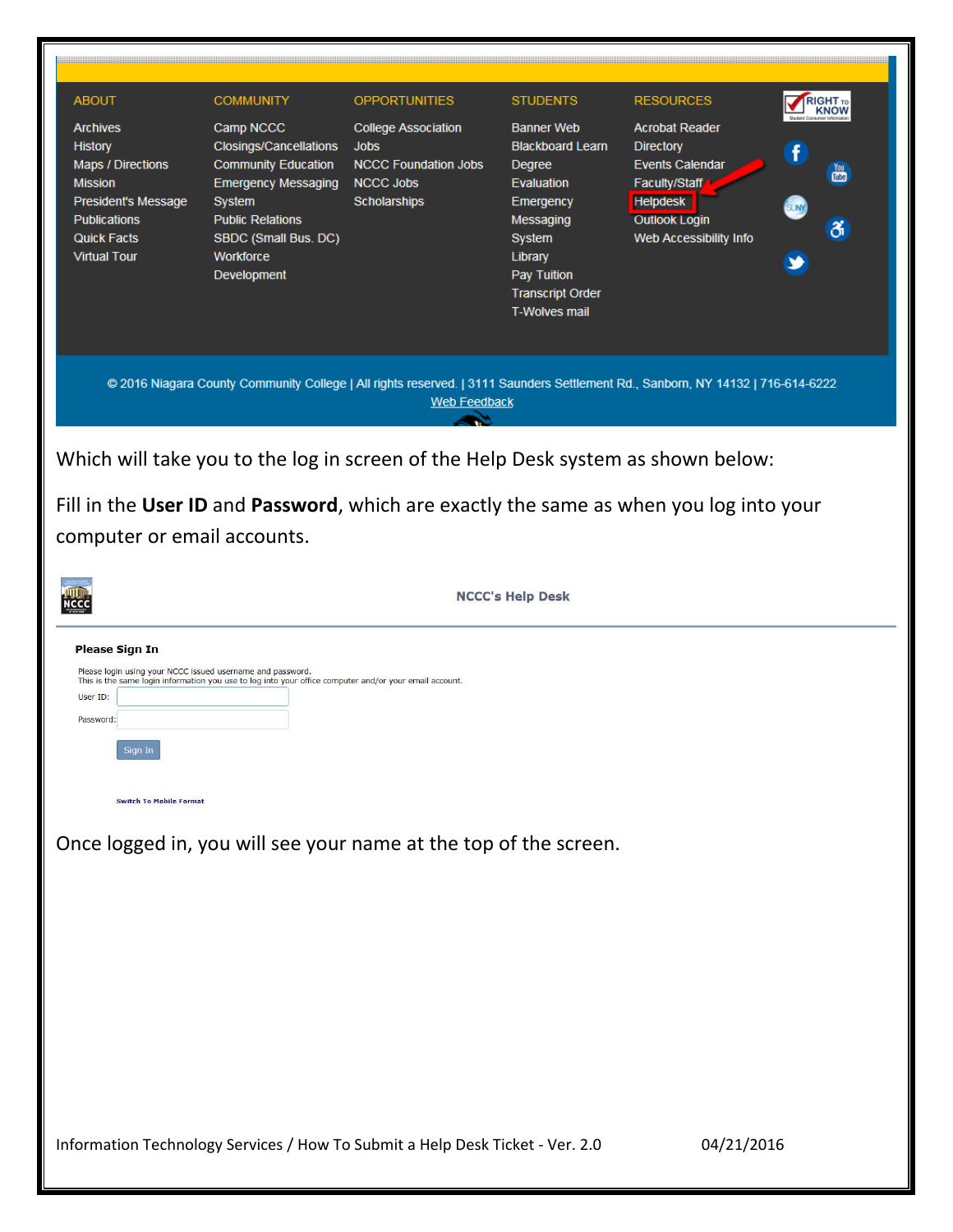| <b>ABOUT</b><br><b>Archives</b><br><b>History</b><br><b>Maps / Directions</b><br><b>Mission</b><br>President's Message<br><b>Publications</b><br><b>Quick Facts</b><br><b>Virtual Tour</b>                                    | <b>COMMUNITY</b><br>Camp NCCC<br><b>Closings/Cancellations</b><br><b>Community Education</b><br><b>Emergency Messaging</b><br>System<br><b>Public Relations</b><br>SBDC (Small Bus. DC)<br>Workforce<br>Development | <b>OPPORTUNITIES</b><br><b>College Association</b><br><b>Jobs</b><br><b>NCCC Foundation Jobs</b><br><b>NCCC Jobs</b><br><b>Scholarships</b>            | <b>STUDENTS</b><br><b>Banner Web</b><br><b>Blackboard Learn</b><br>Degree<br>Evaluation<br>Emergency<br>Messaging<br>System<br>Library<br>Pay Tuition<br><b>Transcript Order</b><br><b>T-Wolves mail</b> | <b>RESOURCES</b><br><b>Acrobat Reader</b><br><b>Directory</b><br><b>Events Calendar</b><br>Faculty/Staff<br><b>Helpdesk</b><br><b>Outlook Login</b><br>Web Accessibility Info | RIGHT <sub>TO</sub><br><b>KNOW</b><br><b>You</b><br>ði |  |
|-------------------------------------------------------------------------------------------------------------------------------------------------------------------------------------------------------------------------------|---------------------------------------------------------------------------------------------------------------------------------------------------------------------------------------------------------------------|--------------------------------------------------------------------------------------------------------------------------------------------------------|----------------------------------------------------------------------------------------------------------------------------------------------------------------------------------------------------------|-------------------------------------------------------------------------------------------------------------------------------------------------------------------------------|--------------------------------------------------------|--|
|                                                                                                                                                                                                                               |                                                                                                                                                                                                                     | @ 2016 Niagara County Community College   All rights reserved.   3111 Saunders Settlement Rd., Sanborn, NY 14132   716-614-6222<br><b>Web Feedback</b> |                                                                                                                                                                                                          |                                                                                                                                                                               |                                                        |  |
| Which will take you to the log in screen of the Help Desk system as shown below:<br>Fill in the User ID and Password, which are exactly the same as when you log into your<br>computer or email accounts.                     |                                                                                                                                                                                                                     |                                                                                                                                                        |                                                                                                                                                                                                          |                                                                                                                                                                               |                                                        |  |
|                                                                                                                                                                                                                               |                                                                                                                                                                                                                     |                                                                                                                                                        | <b>NCCC's Help Desk</b>                                                                                                                                                                                  |                                                                                                                                                                               |                                                        |  |
| <b>Please Sign In</b><br>Please login using your NCCC issued username and password.<br>User ID:<br>Password:<br>Sign In<br><b>Switch To Mobile Format</b><br>Once logged in, you will see your name at the top of the screen. | This is the same login information you use to log into your office computer and/or your email account.                                                                                                              |                                                                                                                                                        |                                                                                                                                                                                                          |                                                                                                                                                                               |                                                        |  |
| Information Technology Services / How To Submit a Help Desk Ticket - Ver. 2.0                                                                                                                                                 |                                                                                                                                                                                                                     |                                                                                                                                                        |                                                                                                                                                                                                          | 04/21/2016                                                                                                                                                                    |                                                        |  |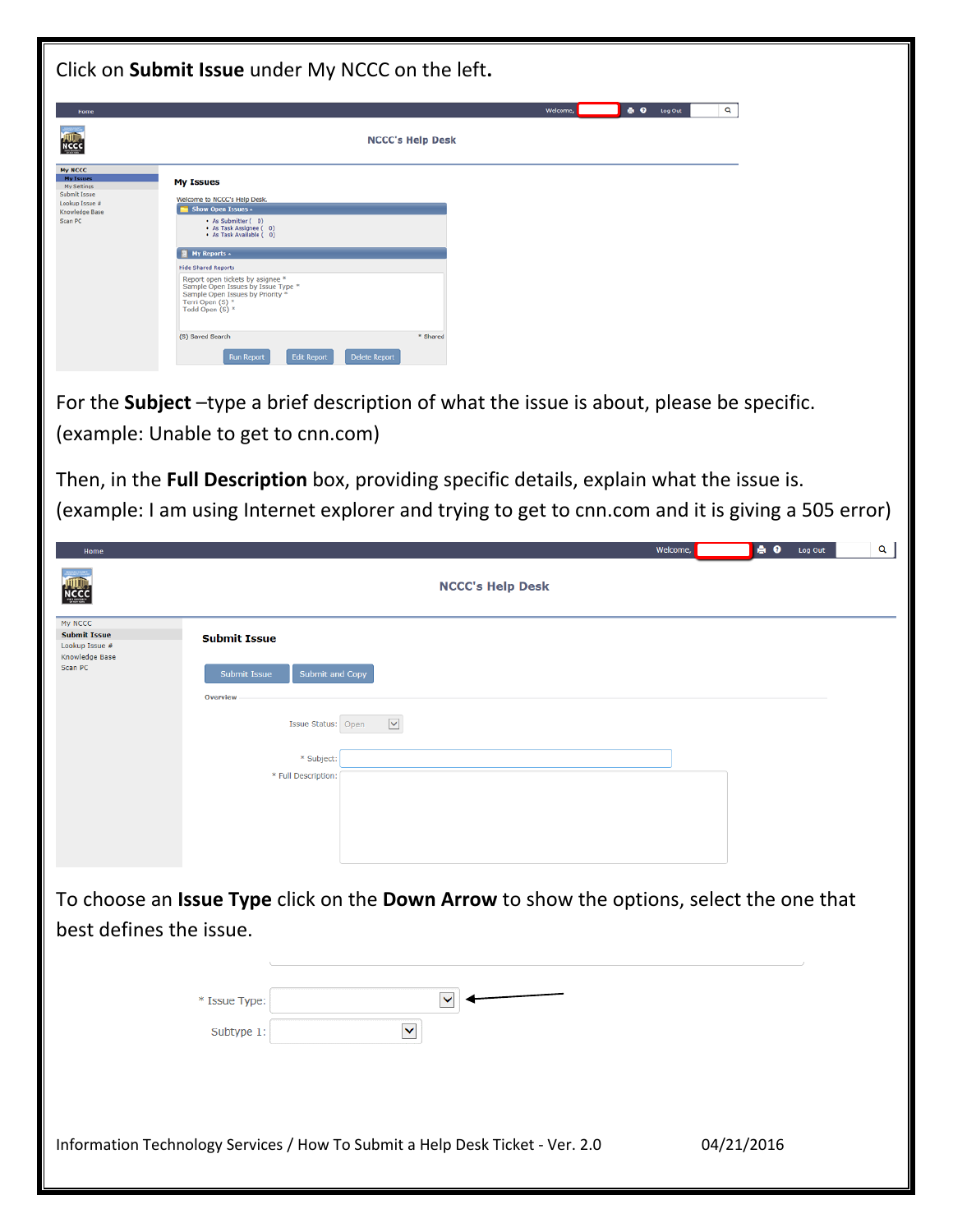| Click on Submit Issue under My NCCC on the left.                                                                       |                                                                                                                                                                                                                                                                                                                                                                                                                                                         |  |  |  |  |
|------------------------------------------------------------------------------------------------------------------------|---------------------------------------------------------------------------------------------------------------------------------------------------------------------------------------------------------------------------------------------------------------------------------------------------------------------------------------------------------------------------------------------------------------------------------------------------------|--|--|--|--|
| Hom                                                                                                                    | <b>A Q</b> Log Out<br>Q<br>Welcome,                                                                                                                                                                                                                                                                                                                                                                                                                     |  |  |  |  |
| <b>NCCC</b>                                                                                                            | <b>NCCC's Help Desk</b>                                                                                                                                                                                                                                                                                                                                                                                                                                 |  |  |  |  |
| <b>My NCCC</b><br><b>My Issue</b><br>My Settings<br>Submit Issue<br>Lookup Issue #<br><b>Knowledge Base</b><br>Scan PC | <b>My Issues</b><br>Welcome to NCCC's Help Desk.<br>Show Open Issues +<br>• As Submitter (0)<br>• As Task Assignee (0)<br>• As Task Available (0)<br>My Reports -<br><b>Hide Shared Reports</b><br>Report open tickets by asignee *<br>Sample Open Issues by Issue Type *<br>Sample Open Issues by Priority *<br>Terri Open (S) *<br>Todd Open (S) *<br>(S) Saved Search<br>* Shared<br><b>Edit Report</b><br><b>Delete Report</b><br><b>Run Report</b> |  |  |  |  |
|                                                                                                                        | For the Subject -type a brief description of what the issue is about, please be specific.<br>(example: Unable to get to cnn.com)                                                                                                                                                                                                                                                                                                                        |  |  |  |  |
| Home                                                                                                                   | Then, in the <b>Full Description</b> box, providing specific details, explain what the issue is.<br>(example: I am using Internet explorer and trying to get to cnn.com and it is giving a 505 error)<br>Q<br>e o<br>Welcome,<br>Log Out                                                                                                                                                                                                                |  |  |  |  |
|                                                                                                                        | <b>NCCC's Help Desk</b>                                                                                                                                                                                                                                                                                                                                                                                                                                 |  |  |  |  |
| My NCCC<br><b>Submit Issue</b><br>Lookup Issue #<br><b>Knowledge Base</b><br>Scan PC                                   | <b>Submit Issue</b><br>Submit Issue<br>Submit and Copy<br><b>Overview</b><br>$\blacktriangledown$<br>Issue Status: Open<br>* Subject:<br>* Full Description:                                                                                                                                                                                                                                                                                            |  |  |  |  |
| best defines the issue.                                                                                                | To choose an Issue Type click on the Down Arrow to show the options, select the one that                                                                                                                                                                                                                                                                                                                                                                |  |  |  |  |
|                                                                                                                        | $\checkmark$<br>* Issue Type:<br>$\blacktriangledown$<br>Subtype 1:                                                                                                                                                                                                                                                                                                                                                                                     |  |  |  |  |
|                                                                                                                        | Information Technology Services / How To Submit a Help Desk Ticket - Ver. 2.0<br>04/21/2016                                                                                                                                                                                                                                                                                                                                                             |  |  |  |  |